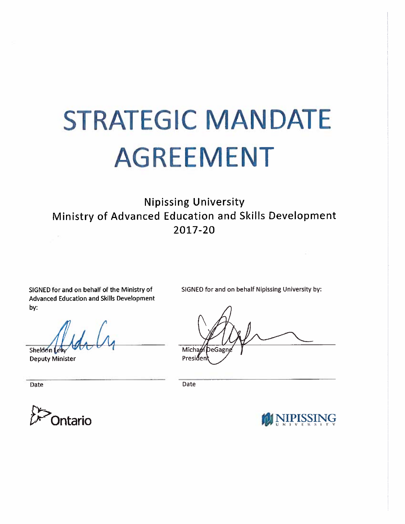# **STRATEGIC MANDATE AGREEMENT**

**Nipissing University** Ministry of Advanced Education and Skills Development 2017-20

SIGNED for and on behalf of the Ministry of **Advanced Education and Skills Development** by:

SIGNED for and on behalf Nipissing University by:

Sheldon Lev

**Deputy Minister** 

Date

DeGagr Micha $\theta$ Presider

Date



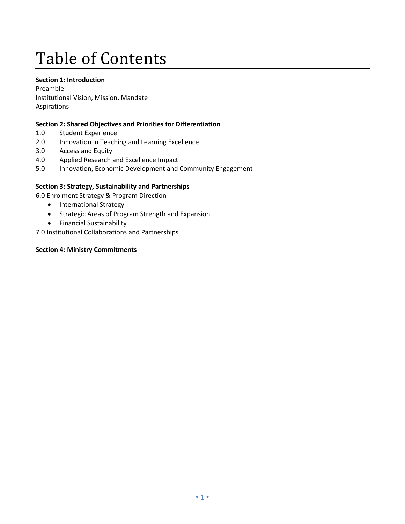### Table of Contents

#### **Section 1: Introduction**

Preamble Institutional Vision, Mission, Mandate Aspirations

#### **Section 2: Shared Objectives and Priorities for Differentiation**

- 1.0 Student Experience
- 2.0 Innovation in Teaching and Learning Excellence
- 3.0 Access and Equity
- 4.0 Applied Research and Excellence Impact
- 5.0 Innovation, Economic Development and Community Engagement

#### **Section 3: Strategy, Sustainability and Partnerships**

- 6.0 Enrolment Strategy & Program Direction
	- International Strategy
	- Strategic Areas of Program Strength and Expansion
	- Financial Sustainability

7.0 Institutional Collaborations and Partnerships

#### **Section 4: Ministry Commitments**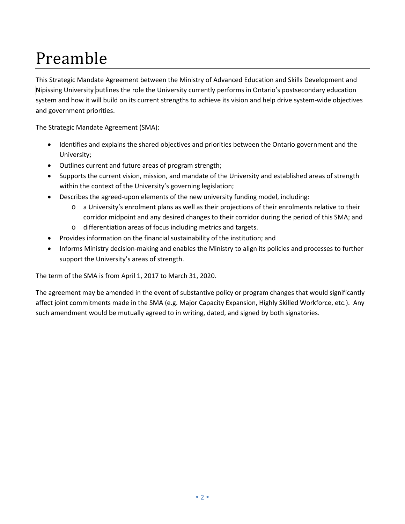# Preamble

This Strategic Mandate Agreement between the Ministry of Advanced Education and Skills Development and Nipissing University outlines the role the University currently performs in Ontario's postsecondary education system and how it will build on its current strengths to achieve its vision and help drive system-wide objectives and government priorities.

The Strategic Mandate Agreement (SMA):

- Identifies and explains the shared objectives and priorities between the Ontario government and the University;
- Outlines current and future areas of program strength;
- Supports the current vision, mission, and mandate of the University and established areas of strength within the context of the University's governing legislation;
- Describes the agreed-upon elements of the new university funding model, including:
	- o a University's enrolment plans as well as their projections of their enrolments relative to their corridor midpoint and any desired changes to their corridor during the period of this SMA; and
	- o differentiation areas of focus including metrics and targets.
- Provides information on the financial sustainability of the institution; and
- Informs Ministry decision-making and enables the Ministry to align its policies and processes to further support the University's areas of strength.

The term of the SMA is from April 1, 2017 to March 31, 2020.

The agreement may be amended in the event of substantive policy or program changes that would significantly affect joint commitments made in the SMA (e.g. Major Capacity Expansion, Highly Skilled Workforce, etc.). Any such amendment would be mutually agreed to in writing, dated, and signed by both signatories.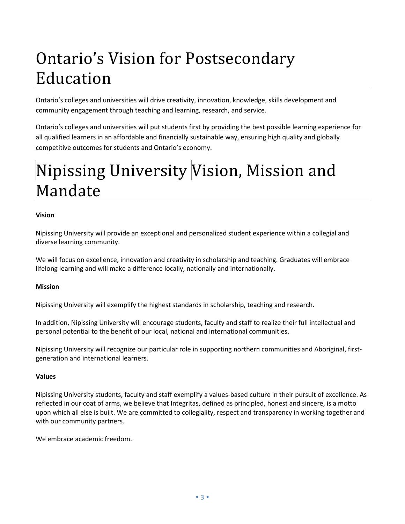# Ontario's Vision for Postsecondary Education

Ontario's colleges and universities will drive creativity, innovation, knowledge, skills development and community engagement through teaching and learning, research, and service.

Ontario's colleges and universities will put students first by providing the best possible learning experience for all qualified learners in an affordable and financially sustainable way, ensuring high quality and globally competitive outcomes for students and Ontario's economy.

# Nipissing University Vision, Mission and Mandate

#### **Vision**

Nipissing University will provide an exceptional and personalized student experience within a collegial and diverse learning community.

We will focus on excellence, innovation and creativity in scholarship and teaching. Graduates will embrace lifelong learning and will make a difference locally, nationally and internationally.

#### **Mission**

Nipissing University will exemplify the highest standards in scholarship, teaching and research.

In addition, Nipissing University will encourage students, faculty and staff to realize their full intellectual and personal potential to the benefit of our local, national and international communities.

Nipissing University will recognize our particular role in supporting northern communities and Aboriginal, firstgeneration and international learners.

#### **Values**

Nipissing University students, faculty and staff exemplify a values-based culture in their pursuit of excellence. As reflected in our coat of arms, we believe that Integritas, defined as principled, honest and sincere, is a motto upon which all else is built. We are committed to collegiality, respect and transparency in working together and with our community partners.

We embrace academic freedom.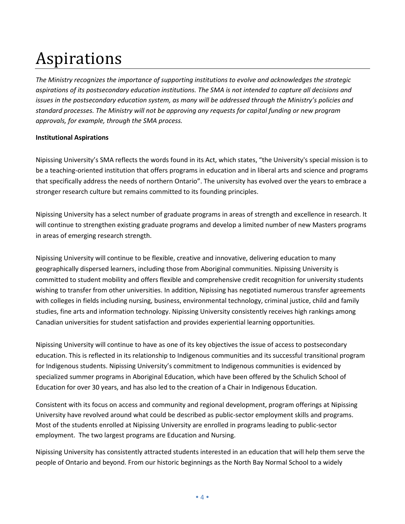### Aspirations

*The Ministry recognizes the importance of supporting institutions to evolve and acknowledges the strategic aspirations of its postsecondary education institutions. The SMA is not intended to capture all decisions and issues in the postsecondary education system, as many will be addressed through the Ministry's policies and standard processes. The Ministry will not be approving any requests for capital funding or new program approvals, for example, through the SMA process.*

#### **Institutional Aspirations**

Nipissing University's SMA reflects the words found in its Act, which states, "the University's special mission is to be a teaching-oriented institution that offers programs in education and in liberal arts and science and programs that specifically address the needs of northern Ontario". The university has evolved over the years to embrace a stronger research culture but remains committed to its founding principles.

Nipissing University has a select number of graduate programs in areas of strength and excellence in research. It will continue to strengthen existing graduate programs and develop a limited number of new Masters programs in areas of emerging research strength.

Nipissing University will continue to be flexible, creative and innovative, delivering education to many geographically dispersed learners, including those from Aboriginal communities. Nipissing University is committed to student mobility and offers flexible and comprehensive credit recognition for university students wishing to transfer from other universities. In addition, Nipissing has negotiated numerous transfer agreements with colleges in fields including nursing, business, environmental technology, criminal justice, child and family studies, fine arts and information technology. Nipissing University consistently receives high rankings among Canadian universities for student satisfaction and provides experiential learning opportunities.

Nipissing University will continue to have as one of its key objectives the issue of access to postsecondary education. This is reflected in its relationship to Indigenous communities and its successful transitional program for Indigenous students. Nipissing University's commitment to Indigenous communities is evidenced by specialized summer programs in Aboriginal Education, which have been offered by the Schulich School of Education for over 30 years, and has also led to the creation of a Chair in Indigenous Education.

Consistent with its focus on access and community and regional development, program offerings at Nipissing University have revolved around what could be described as public-sector employment skills and programs. Most of the students enrolled at Nipissing University are enrolled in programs leading to public-sector employment. The two largest programs are Education and Nursing.

Nipissing University has consistently attracted students interested in an education that will help them serve the people of Ontario and beyond. From our historic beginnings as the North Bay Normal School to a widely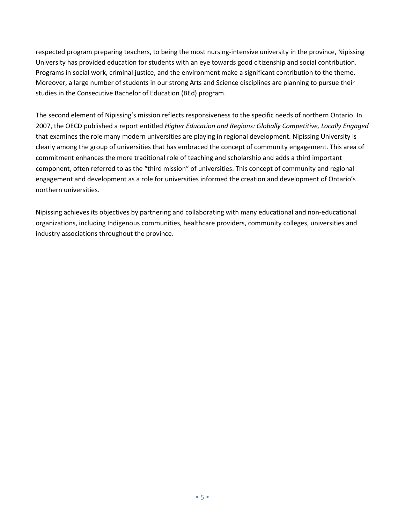respected program preparing teachers, to being the most nursing-intensive university in the province, Nipissing University has provided education for students with an eye towards good citizenship and social contribution. Programs in social work, criminal justice, and the environment make a significant contribution to the theme. Moreover, a large number of students in our strong Arts and Science disciplines are planning to pursue their studies in the Consecutive Bachelor of Education (BEd) program.

The second element of Nipissing's mission reflects responsiveness to the specific needs of northern Ontario. In 2007, the OECD published a report entitled *Higher Education and Regions: Globally Competitive, Locally Engaged* that examines the role many modern universities are playing in regional development. Nipissing University is clearly among the group of universities that has embraced the concept of community engagement. This area of commitment enhances the more traditional role of teaching and scholarship and adds a third important component, often referred to as the "third mission" of universities. This concept of community and regional engagement and development as a role for universities informed the creation and development of Ontario's northern universities.

Nipissing achieves its objectives by partnering and collaborating with many educational and non-educational organizations, including Indigenous communities, healthcare providers, community colleges, universities and industry associations throughout the province.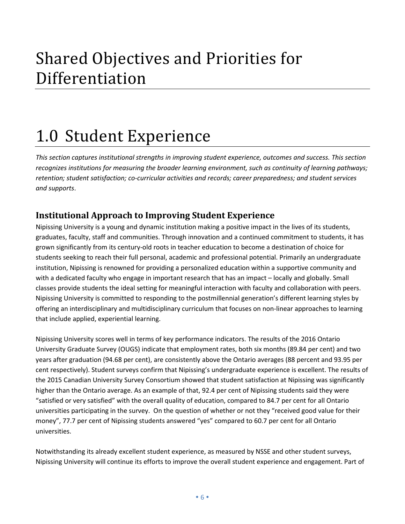### Shared Objectives and Priorities for Differentiation

## 1.0 Student Experience

*This section captures institutional strengths in improving student experience, outcomes and success. This section recognizes institutions for measuring the broader learning environment, such as continuity of learning pathways; retention; student satisfaction; co-curricular activities and records; career preparedness; and student services and supports*.

### **Institutional Approach to Improving Student Experience**

Nipissing University is a young and dynamic institution making a positive impact in the lives of its students, graduates, faculty, staff and communities. Through innovation and a continued commitment to students, it has grown significantly from its century-old roots in teacher education to become a destination of choice for students seeking to reach their full personal, academic and professional potential. Primarily an undergraduate institution, Nipissing is renowned for providing a personalized education within a supportive community and with a dedicated faculty who engage in important research that has an impact – locally and globally. Small classes provide students the ideal setting for meaningful interaction with faculty and collaboration with peers. Nipissing University is committed to responding to the postmillennial generation's different learning styles by offering an interdisciplinary and multidisciplinary curriculum that focuses on non-linear approaches to learning that include applied, experiential learning.

Nipissing University scores well in terms of key performance indicators. The results of the 2016 Ontario University Graduate Survey (OUGS) indicate that employment rates, both six months (89.84 per cent) and two years after graduation (94.68 per cent), are consistently above the Ontario averages (88 percent and 93.95 per cent respectively). Student surveys confirm that Nipissing's undergraduate experience is excellent. The results of the 2015 Canadian University Survey Consortium showed that student satisfaction at Nipissing was significantly higher than the Ontario average. As an example of that, 92.4 per cent of Nipissing students said they were "satisfied or very satisfied" with the overall quality of education, compared to 84.7 per cent for all Ontario universities participating in the survey. On the question of whether or not they "received good value for their money", 77.7 per cent of Nipissing students answered "yes" compared to 60.7 per cent for all Ontario universities.

Notwithstanding its already excellent student experience, as measured by NSSE and other student surveys, Nipissing University will continue its efforts to improve the overall student experience and engagement. Part of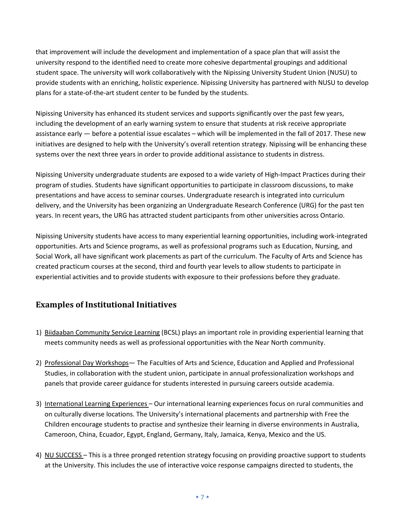that improvement will include the development and implementation of a space plan that will assist the university respond to the identified need to create more cohesive departmental groupings and additional student space. The university will work collaboratively with the Nipissing University Student Union (NUSU) to provide students with an enriching, holistic experience. Nipissing University has partnered with NUSU to develop plans for a state-of-the-art student center to be funded by the students.

Nipissing University has enhanced its student services and supports significantly over the past few years, including the development of an early warning system to ensure that students at risk receive appropriate assistance early — before a potential issue escalates – which will be implemented in the fall of 2017. These new initiatives are designed to help with the University's overall retention strategy. Nipissing will be enhancing these systems over the next three years in order to provide additional assistance to students in distress.

Nipissing University undergraduate students are exposed to a wide variety of High-Impact Practices during their program of studies. Students have significant opportunities to participate in classroom discussions, to make presentations and have access to seminar courses. Undergraduate research is integrated into curriculum delivery, and the University has been organizing an Undergraduate Research Conference (URG) for the past ten years. In recent years, the URG has attracted student participants from other universities across Ontario.

Nipissing University students have access to many experiential learning opportunities, including work-integrated opportunities. Arts and Science programs, as well as professional programs such as Education, Nursing, and Social Work, all have significant work placements as part of the curriculum. The Faculty of Arts and Science has created practicum courses at the second, third and fourth year levels to allow students to participate in experiential activities and to provide students with exposure to their professions before they graduate.

#### **Examples of Institutional Initiatives**

- 1) Biidaaban Community Service Learning (BCSL) plays an important role in providing experiential learning that meets community needs as well as professional opportunities with the Near North community.
- 2) Professional Day Workshops— The Faculties of Arts and Science, Education and Applied and Professional Studies, in collaboration with the student union, participate in annual professionalization workshops and panels that provide career guidance for students interested in pursuing careers outside academia.
- 3) International Learning Experiences Our international learning experiences focus on rural communities and on culturally diverse locations. The University's international placements and partnership with Free the Children encourage students to practise and synthesize their learning in diverse environments in Australia, Cameroon, China, Ecuador, Egypt, England, Germany, Italy, Jamaica, Kenya, Mexico and the US.
- 4) NU SUCCESS This is a three pronged retention strategy focusing on providing proactive support to students at the University. This includes the use of interactive voice response campaigns directed to students, the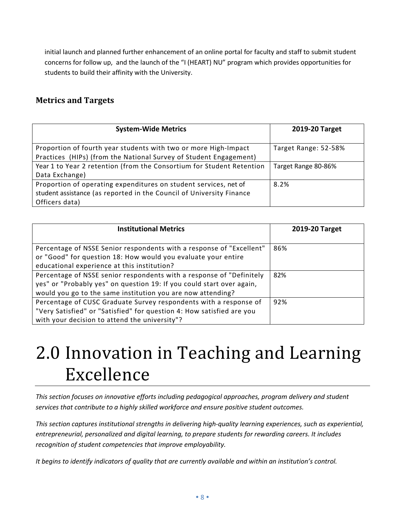initial launch and planned further enhancement of an online portal for faculty and staff to submit student concerns for follow up, and the launch of the "I (HEART) NU" program which provides opportunities for students to build their affinity with the University.

#### **Metrics and Targets**

| <b>System-Wide Metrics</b>                                            | 2019-20 Target       |
|-----------------------------------------------------------------------|----------------------|
| Proportion of fourth year students with two or more High-Impact       | Target Range: 52-58% |
| Practices (HIPs) (from the National Survey of Student Engagement)     |                      |
| Year 1 to Year 2 retention (from the Consortium for Student Retention | Target Range 80-86%  |
| Data Exchange)                                                        |                      |
| Proportion of operating expenditures on student services, net of      | 8.2%                 |
| student assistance (as reported in the Council of University Finance  |                      |
| Officers data)                                                        |                      |

| <b>Institutional Metrics</b>                                                                                                                                                                                 | 2019-20 Target |
|--------------------------------------------------------------------------------------------------------------------------------------------------------------------------------------------------------------|----------------|
| Percentage of NSSE Senior respondents with a response of "Excellent"<br>or "Good" for question 18: How would you evaluate your entire<br>educational experience at this institution?                         | 86%            |
| Percentage of NSSE senior respondents with a response of "Definitely<br>yes" or "Probably yes" on question 19: If you could start over again,<br>would you go to the same institution you are now attending? | 82%            |
| Percentage of CUSC Graduate Survey respondents with a response of<br>"Very Satisfied" or "Satisfied" for question 4: How satisfied are you<br>with your decision to attend the university"?                  | 92%            |

# 2.0 Innovation in Teaching and Learning Excellence

*This section focuses on innovative efforts including pedagogical approaches, program delivery and student services that contribute to a highly skilled workforce and ensure positive student outcomes.*

*This section captures institutional strengths in delivering high-quality learning experiences, such as experiential, entrepreneurial, personalized and digital learning, to prepare students for rewarding careers. It includes recognition of student competencies that improve employability.* 

*It begins to identify indicators of quality that are currently available and within an institution's control.*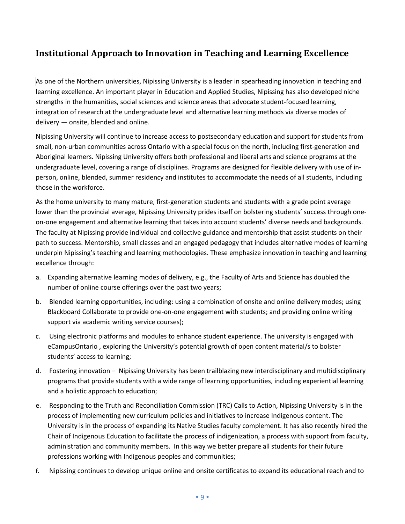### **Institutional Approach to Innovation in Teaching and Learning Excellence**

As one of the Northern universities, Nipissing University is a leader in spearheading innovation in teaching and learning excellence. An important player in Education and Applied Studies, Nipissing has also developed niche strengths in the humanities, social sciences and science areas that advocate student-focused learning, integration of research at the undergraduate level and alternative learning methods via diverse modes of delivery — onsite, blended and online.

Nipissing University will continue to increase access to postsecondary education and support for students from small, non-urban communities across Ontario with a special focus on the north, including first-generation and Aboriginal learners. Nipissing University offers both professional and liberal arts and science programs at the undergraduate level, covering a range of disciplines. Programs are designed for flexible delivery with use of inperson, online, blended, summer residency and institutes to accommodate the needs of all students, including those in the workforce.

As the home university to many mature, first-generation students and students with a grade point average lower than the provincial average, Nipissing University prides itself on bolstering students' success through oneon-one engagement and alternative learning that takes into account students' diverse needs and backgrounds. The faculty at Nipissing provide individual and collective guidance and mentorship that assist students on their path to success. Mentorship, small classes and an engaged pedagogy that includes alternative modes of learning underpin Nipissing's teaching and learning methodologies. These emphasize innovation in teaching and learning excellence through:

- a. Expanding alternative learning modes of delivery, e.g., the Faculty of Arts and Science has doubled the number of online course offerings over the past two years;
- b. Blended learning opportunities, including: using a combination of onsite and online delivery modes; using Blackboard Collaborate to provide one-on-one engagement with students; and providing online writing support via academic writing service courses);
- c. Using electronic platforms and modules to enhance student experience. The university is engaged with eCampusOntario , exploring the University's potential growth of open content material/s to bolster students' access to learning;
- d. Fostering innovation Nipissing University has been trailblazing new interdisciplinary and multidisciplinary programs that provide students with a wide range of learning opportunities, including experiential learning and a holistic approach to education;
- e. Responding to the Truth and Reconciliation Commission (TRC) Calls to Action, Nipissing University is in the process of implementing new curriculum policies and initiatives to increase Indigenous content. The University is in the process of expanding its Native Studies faculty complement. It has also recently hired the Chair of Indigenous Education to facilitate the process of indigenization, a process with support from faculty, administration and community members. In this way we better prepare all students for their future professions working with Indigenous peoples and communities;
- f. Nipissing continues to develop unique online and onsite certificates to expand its educational reach and to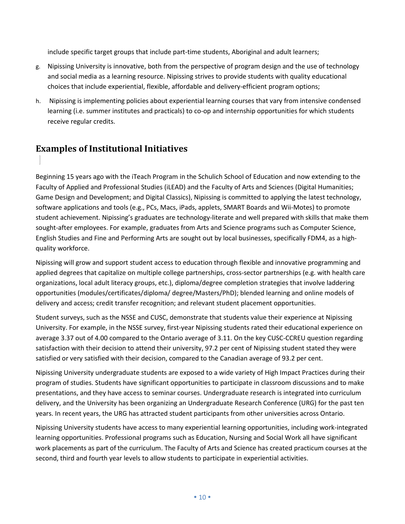include specific target groups that include part-time students, Aboriginal and adult learners;

- g. Nipissing University is innovative, both from the perspective of program design and the use of technology and social media as a learning resource. Nipissing strives to provide students with quality educational choices that include experiential, flexible, affordable and delivery-efficient program options;
- h. Nipissing is implementing policies about experiential learning courses that vary from intensive condensed learning (i.e. summer institutes and practicals) to co-op and internship opportunities for which students receive regular credits.

### **Examples of Institutional Initiatives**

Beginning 15 years ago with the iTeach Program in the Schulich School of Education and now extending to the Faculty of Applied and Professional Studies (iLEAD) and the Faculty of Arts and Sciences (Digital Humanities; Game Design and Development; and Digital Classics), Nipissing is committed to applying the latest technology, software applications and tools (e.g., PCs, Macs, iPads, applets, SMART Boards and Wii-Motes) to promote student achievement. Nipissing's graduates are technology-literate and well prepared with skills that make them sought-after employees. For example, graduates from Arts and Science programs such as Computer Science, English Studies and Fine and Performing Arts are sought out by local businesses, specifically FDM4, as a highquality workforce.

Nipissing will grow and support student access to education through flexible and innovative programming and applied degrees that capitalize on multiple college partnerships, cross-sector partnerships (e.g. with health care organizations, local adult literacy groups, etc.), diploma/degree completion strategies that involve laddering opportunities (modules/certificates/diploma/ degree/Masters/PhD); blended learning and online models of delivery and access; credit transfer recognition; and relevant student placement opportunities.

Student surveys, such as the NSSE and CUSC, demonstrate that students value their experience at Nipissing University. For example, in the NSSE survey, first-year Nipissing students rated their educational experience on average 3.37 out of 4.00 compared to the Ontario average of 3.11. On the key CUSC-CCREU question regarding satisfaction with their decision to attend their university, 97.2 per cent of Nipissing student stated they were satisfied or very satisfied with their decision, compared to the Canadian average of 93.2 per cent.

Nipissing University undergraduate students are exposed to a wide variety of High Impact Practices during their program of studies. Students have significant opportunities to participate in classroom discussions and to make presentations, and they have access to seminar courses. Undergraduate research is integrated into curriculum delivery, and the University has been organizing an Undergraduate Research Conference (URG) for the past ten years. In recent years, the URG has attracted student participants from other universities across Ontario.

Nipissing University students have access to many experiential learning opportunities, including work-integrated learning opportunities. Professional programs such as Education, Nursing and Social Work all have significant work placements as part of the curriculum. The Faculty of Arts and Science has created practicum courses at the second, third and fourth year levels to allow students to participate in experiential activities.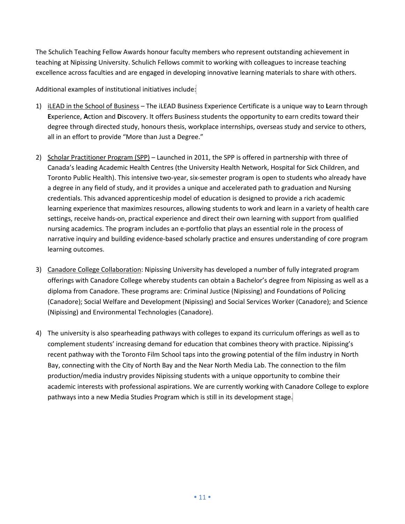The Schulich Teaching Fellow Awards honour faculty members who represent outstanding achievement in teaching at Nipissing University. Schulich Fellows commit to working with colleagues to increase teaching excellence across faculties and are engaged in developing innovative learning materials to share with others.

Additional examples of institutional initiatives include:

- 1) iLEAD in the School of Business The iLEAD Business Experience Certificate is a unique way to **L**earn through **E**xperience, **A**ction and **D**iscovery. It offers Business students the opportunity to earn credits toward their degree through directed study, honours thesis, workplace internships, overseas study and service to others, all in an effort to provide "More than Just a Degree."
- 2) Scholar Practitioner Program (SPP) Launched in 2011, the SPP is offered in partnership with three of Canada's leading Academic Health Centres (the University Health Network, Hospital for Sick Children, and Toronto Public Health). This intensive two-year, six-semester program is open to students who already have a degree in any field of study, and it provides a unique and accelerated path to graduation and Nursing credentials. This advanced apprenticeship model of education is designed to provide a rich academic learning experience that maximizes resources, allowing students to work and learn in a variety of health care settings, receive hands-on, practical experience and direct their own learning with support from qualified nursing academics. The program includes an e-portfolio that plays an essential role in the process of narrative inquiry and building evidence-based scholarly practice and ensures understanding of core program learning outcomes.
- 3) Canadore College Collaboration: Nipissing University has developed a number of fully integrated program offerings with Canadore College whereby students can obtain a Bachelor's degree from Nipissing as well as a diploma from Canadore. These programs are: Criminal Justice (Nipissing) and Foundations of Policing (Canadore); Social Welfare and Development (Nipissing) and Social Services Worker (Canadore); and Science (Nipissing) and Environmental Technologies (Canadore).
- 4) The university is also spearheading pathways with colleges to expand its curriculum offerings as well as to complement students' increasing demand for education that combines theory with practice. Nipissing's recent pathway with the Toronto Film School taps into the growing potential of the film industry in North Bay, connecting with the City of North Bay and the Near North Media Lab. The connection to the film production/media industry provides Nipissing students with a unique opportunity to combine their academic interests with professional aspirations. We are currently working with Canadore College to explore pathways into a new Media Studies Program which is still in its development stage.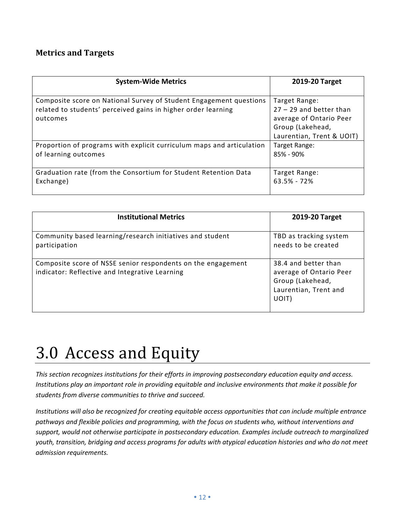#### **Metrics and Targets**

| <b>System-Wide Metrics</b>                                                                                                                      | 2019-20 Target                                                                                                         |
|-------------------------------------------------------------------------------------------------------------------------------------------------|------------------------------------------------------------------------------------------------------------------------|
| Composite score on National Survey of Student Engagement questions<br>related to students' perceived gains in higher order learning<br>outcomes | Target Range:<br>$27 - 29$ and better than<br>average of Ontario Peer<br>Group (Lakehead,<br>Laurentian, Trent & UOIT) |
| Proportion of programs with explicit curriculum maps and articulation                                                                           | Target Range:                                                                                                          |
| of learning outcomes                                                                                                                            | 85% - 90%                                                                                                              |
| Graduation rate (from the Consortium for Student Retention Data                                                                                 | Target Range:                                                                                                          |
| Exchange)                                                                                                                                       | $63.5% - 72%$                                                                                                          |

| <b>Institutional Metrics</b>                                                                                   | 2019-20 Target                                                                                        |
|----------------------------------------------------------------------------------------------------------------|-------------------------------------------------------------------------------------------------------|
| Community based learning/research initiatives and student<br>participation                                     | TBD as tracking system<br>needs to be created                                                         |
| Composite score of NSSE senior respondents on the engagement<br>indicator: Reflective and Integrative Learning | 38.4 and better than<br>average of Ontario Peer<br>Group (Lakehead,<br>Laurentian, Trent and<br>UOIT) |

# 3.0 Access and Equity

*This section recognizes institutions for their efforts in improving postsecondary education equity and access. Institutions play an important role in providing equitable and inclusive environments that make it possible for students from diverse communities to thrive and succeed.* 

*Institutions will also be recognized for creating equitable access opportunities that can include multiple entrance pathways and flexible policies and programming, with the focus on students who, without interventions and support, would not otherwise participate in postsecondary education. Examples include outreach to marginalized youth, transition, bridging and access programs for adults with atypical education histories and who do not meet admission requirements.*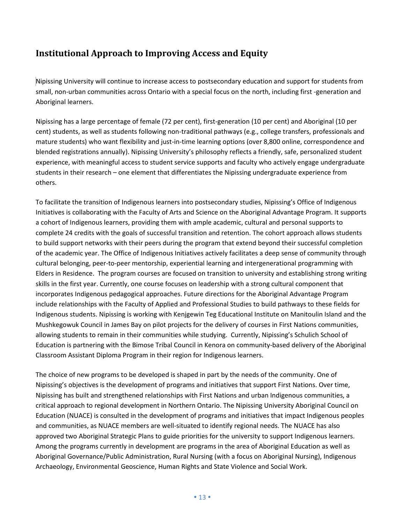#### **Institutional Approach to Improving Access and Equity**

Nipissing University will continue to increase access to postsecondary education and support for students from small, non-urban communities across Ontario with a special focus on the north, including first -generation and Aboriginal learners.

Nipissing has a large percentage of female (72 per cent), first-generation (10 per cent) and Aboriginal (10 per cent) students, as well as students following non-traditional pathways (e.g., college transfers, professionals and mature students) who want flexibility and just-in-time learning options (over 8,800 online, correspondence and blended registrations annually). Nipissing University's philosophy reflects a friendly, safe, personalized student experience, with meaningful access to student service supports and faculty who actively engage undergraduate students in their research – one element that differentiates the Nipissing undergraduate experience from others.

To facilitate the transition of Indigenous learners into postsecondary studies, Nipissing's Office of Indigenous Initiatives is collaborating with the Faculty of Arts and Science on the Aboriginal Advantage Program. It supports a cohort of Indigenous learners, providing them with ample academic, cultural and personal supports to complete 24 credits with the goals of successful transition and retention. The cohort approach allows students to build support networks with their peers during the program that extend beyond their successful completion of the academic year. The Office of Indigenous Initiatives actively facilitates a deep sense of community through cultural belonging, peer-to-peer mentorship, experiential learning and intergenerational programming with Elders in Residence. The program courses are focused on transition to university and establishing strong writing skills in the first year. Currently, one course focuses on leadership with a strong cultural component that incorporates Indigenous pedagogical approaches. Future directions for the Aboriginal Advantage Program include relationships with the Faculty of Applied and Professional Studies to build pathways to these fields for Indigenous students. Nipissing is working with Kenjgewin Teg Educational Institute on Manitoulin Island and the Mushkegowuk Council in James Bay on pilot projects for the delivery of courses in First Nations communities, allowing students to remain in their communities while studying. Currently, Nipissing's Schulich School of Education is partnering with the Bimose Tribal Council in Kenora on community-based delivery of the Aboriginal Classroom Assistant Diploma Program in their region for Indigenous learners.

The choice of new programs to be developed is shaped in part by the needs of the community. One of Nipissing's objectives is the development of programs and initiatives that support First Nations. Over time, Nipissing has built and strengthened relationships with First Nations and urban Indigenous communities, a critical approach to regional development in Northern Ontario. The Nipissing University Aboriginal Council on Education (NUACE) is consulted in the development of programs and initiatives that impact Indigenous peoples and communities, as NUACE members are well-situated to identify regional needs. The NUACE has also approved two Aboriginal Strategic Plans to guide priorities for the university to support Indigenous learners. Among the programs currently in development are programs in the area of Aboriginal Education as well as Aboriginal Governance/Public Administration, Rural Nursing (with a focus on Aboriginal Nursing), Indigenous Archaeology, Environmental Geoscience, Human Rights and State Violence and Social Work.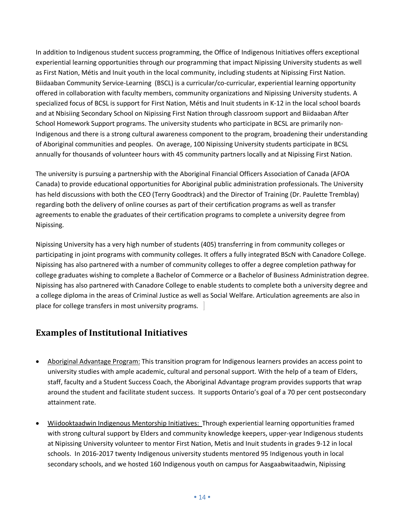In addition to Indigenous student success programming, the Office of Indigenous Initiatives offers exceptional experiential learning opportunities through our programming that impact Nipissing University students as well as First Nation, Métis and Inuit youth in the local community, including students at Nipissing First Nation. Biidaaban Community Service-Learning (BSCL) is a curricular/co-curricular, experiential learning opportunity offered in collaboration with faculty members, community organizations and Nipissing University students. A specialized focus of BCSL is support for First Nation, Métis and Inuit students in K-12 in the local school boards and at Nbisiing Secondary School on Nipissing First Nation through classroom support and Biidaaban After School Homework Support programs. The university students who participate in BCSL are primarily non-Indigenous and there is a strong cultural awareness component to the program, broadening their understanding of Aboriginal communities and peoples. On average, 100 Nipissing University students participate in BCSL annually for thousands of volunteer hours with 45 community partners locally and at Nipissing First Nation.

The university is pursuing a partnership with the Aboriginal Financial Officers Association of Canada (AFOA Canada) to provide educational opportunities for Aboriginal public administration professionals. The University has held discussions with both the CEO (Terry Goodtrack) and the Director of Training (Dr. Paulette Tremblay) regarding both the delivery of online courses as part of their certification programs as well as transfer agreements to enable the graduates of their certification programs to complete a university degree from Nipissing.

Nipissing University has a very high number of students (405) transferring in from community colleges or participating in joint programs with community colleges. It offers a fully integrated BScN with Canadore College. Nipissing has also partnered with a number of community colleges to offer a degree completion pathway for college graduates wishing to complete a Bachelor of Commerce or a Bachelor of Business Administration degree. Nipissing has also partnered with Canadore College to enable students to complete both a university degree and a college diploma in the areas of Criminal Justice as well as Social Welfare. Articulation agreements are also in place for college transfers in most university programs.

#### **Examples of Institutional Initiatives**

- Aboriginal Advantage Program: This transition program for Indigenous learners provides an access point to university studies with ample academic, cultural and personal support. With the help of a team of Elders, staff, faculty and a Student Success Coach, the Aboriginal Advantage program provides supports that wrap around the student and facilitate student success. It supports Ontario's goal of a 70 per cent postsecondary attainment rate.
- Wiidooktaadwin Indigenous Mentorship Initiatives: Through experiential learning opportunities framed with strong cultural support by Elders and community knowledge keepers, upper-year Indigenous students at Nipissing University volunteer to mentor First Nation, Metis and Inuit students in grades 9-12 in local schools. In 2016-2017 twenty Indigenous university students mentored 95 Indigenous youth in local secondary schools, and we hosted 160 Indigenous youth on campus for Aasgaabwitaadwin, Nipissing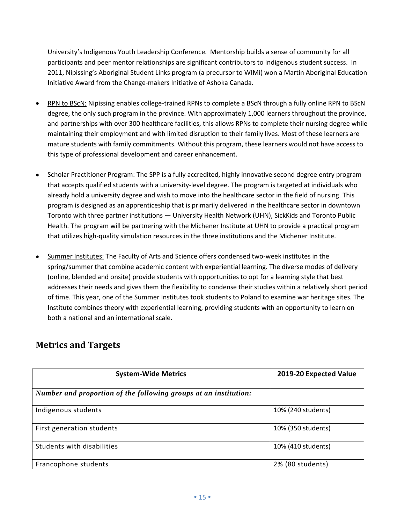University's Indigenous Youth Leadership Conference. Mentorship builds a sense of community for all participants and peer mentor relationships are significant contributors to Indigenous student success. In 2011, Nipissing's Aboriginal Student Links program (a precursor to WIMi) won a Martin Aboriginal Education Initiative Award from the Change-makers Initiative of Ashoka Canada.

- RPN to BScN: Nipissing enables college-trained RPNs to complete a BScN through a fully online RPN to BScN degree, the only such program in the province. With approximately 1,000 learners throughout the province, and partnerships with over 300 healthcare facilities, this allows RPNs to complete their nursing degree while maintaining their employment and with limited disruption to their family lives. Most of these learners are mature students with family commitments. Without this program, these learners would not have access to this type of professional development and career enhancement.
- Scholar Practitioner Program: The SPP is a fully accredited, highly innovative second degree entry program that accepts qualified students with a university-level degree. The program is targeted at individuals who already hold a university degree and wish to move into the healthcare sector in the field of nursing. This program is designed as an apprenticeship that is primarily delivered in the healthcare sector in downtown Toronto with three partner institutions — University Health Network (UHN), SickKids and Toronto Public Health. The program will be partnering with the Michener Institute at UHN to provide a practical program that utilizes high-quality simulation resources in the three institutions and the Michener Institute.
- Summer Institutes: The Faculty of Arts and Science offers condensed two-week institutes in the spring/summer that combine academic content with experiential learning. The diverse modes of delivery (online, blended and onsite) provide students with opportunities to opt for a learning style that best addresses their needs and gives them the flexibility to condense their studies within a relatively short period of time. This year, one of the Summer Institutes took students to Poland to examine war heritage sites. The Institute combines theory with experiential learning, providing students with an opportunity to learn on both a national and an international scale.

#### **Metrics and Targets**

| <b>System-Wide Metrics</b>                                       | 2019-20 Expected Value |
|------------------------------------------------------------------|------------------------|
| Number and proportion of the following groups at an institution: |                        |
| Indigenous students                                              | 10% (240 students)     |
| First generation students                                        | 10% (350 students)     |
| Students with disabilities                                       | 10% (410 students)     |
| Francophone students                                             | 2% (80 students)       |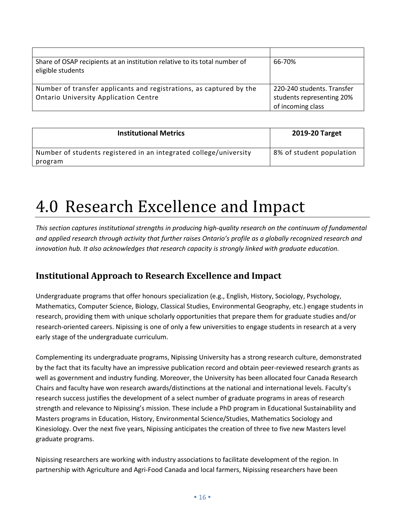| Share of OSAP recipients at an institution relative to its total number of<br>eligible students | 66-70%                     |
|-------------------------------------------------------------------------------------------------|----------------------------|
| Number of transfer applicants and registrations, as captured by the                             | 220-240 students. Transfer |
| <b>Ontario University Application Centre</b>                                                    | students representing 20%  |
|                                                                                                 | of incoming class          |

| <b>Institutional Metrics</b>                                      | 2019-20 Target           |
|-------------------------------------------------------------------|--------------------------|
| Number of students registered in an integrated college/university | 8% of student population |
| program                                                           |                          |

# 4.0 Research Excellence and Impact

*This section captures institutional strengths in producing high-quality research on the continuum of fundamental and applied research through activity that further raises Ontario's profile as a globally recognized research and innovation hub. It also acknowledges that research capacity is strongly linked with graduate education.* 

### **Institutional Approach to Research Excellence and Impact**

Undergraduate programs that offer honours specialization (e.g., English, History, Sociology, Psychology, Mathematics, Computer Science, Biology, Classical Studies, Environmental Geography, etc.) engage students in research, providing them with unique scholarly opportunities that prepare them for graduate studies and/or research-oriented careers. Nipissing is one of only a few universities to engage students in research at a very early stage of the undergraduate curriculum.

Complementing its undergraduate programs, Nipissing University has a strong research culture, demonstrated by the fact that its faculty have an impressive publication record and obtain peer-reviewed research grants as well as government and industry funding. Moreover, the University has been allocated four Canada Research Chairs and faculty have won research awards/distinctions at the national and international levels. Faculty's research success justifies the development of a select number of graduate programs in areas of research strength and relevance to Nipissing's mission. These include a PhD program in Educational Sustainability and Masters programs in Education, History, Environmental Science/Studies, Mathematics Sociology and Kinesiology. Over the next five years, Nipissing anticipates the creation of three to five new Masters level graduate programs.

Nipissing researchers are working with industry associations to facilitate development of the region. In partnership with Agriculture and Agri-Food Canada and local farmers, Nipissing researchers have been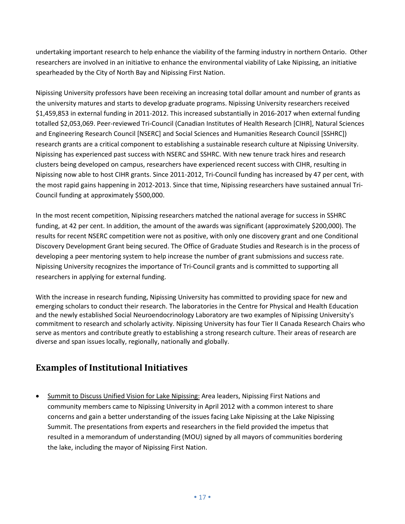undertaking important research to help enhance the viability of the farming industry in northern Ontario. Other researchers are involved in an initiative to enhance the environmental viability of Lake Nipissing, an initiative spearheaded by the City of North Bay and Nipissing First Nation.

Nipissing University professors have been receiving an increasing total dollar amount and number of grants as the university matures and starts to develop graduate programs. Nipissing University researchers received \$1,459,853 in external funding in 2011-2012. This increased substantially in 2016-2017 when external funding totalled \$2,053,069. Peer-reviewed Tri-Council (Canadian Institutes of Health Research [CIHR], Natural Sciences and Engineering Research Council [NSERC] and Social Sciences and Humanities Research Council [SSHRC]) research grants are a critical component to establishing a sustainable research culture at Nipissing University. Nipissing has experienced past success with NSERC and SSHRC. With new tenure track hires and research clusters being developed on campus, researchers have experienced recent success with CIHR, resulting in Nipissing now able to host CIHR grants. Since 2011-2012, Tri-Council funding has increased by 47 per cent, with the most rapid gains happening in 2012-2013. Since that time, Nipissing researchers have sustained annual Tri-Council funding at approximately \$500,000.

In the most recent competition, Nipissing researchers matched the national average for success in SSHRC funding, at 42 per cent. In addition, the amount of the awards was significant (approximately \$200,000). The results for recent NSERC competition were not as positive, with only one discovery grant and one Conditional Discovery Development Grant being secured. The Office of Graduate Studies and Research is in the process of developing a peer mentoring system to help increase the number of grant submissions and success rate. Nipissing University recognizes the importance of Tri-Council grants and is committed to supporting all researchers in applying for external funding.

With the increase in research funding, Nipissing University has committed to providing space for new and emerging scholars to conduct their research. The laboratories in the Centre for Physical and Health Education and the newly established Social Neuroendocrinology Laboratory are two examples of Nipissing University's commitment to research and scholarly activity. Nipissing University has four Tier II Canada Research Chairs who serve as mentors and contribute greatly to establishing a strong research culture. Their areas of research are diverse and span issues locally, regionally, nationally and globally.

### **Examples of Institutional Initiatives**

• Summit to Discuss Unified Vision for Lake Nipissing: Area leaders, Nipissing First Nations and community members came to Nipissing University in April 2012 with a common interest to share concerns and gain a better understanding of the issues facing Lake Nipissing at the Lake Nipissing Summit. The presentations from experts and researchers in the field provided the impetus that resulted in a memorandum of understanding (MOU) signed by all mayors of communities bordering the lake, including the mayor of Nipissing First Nation.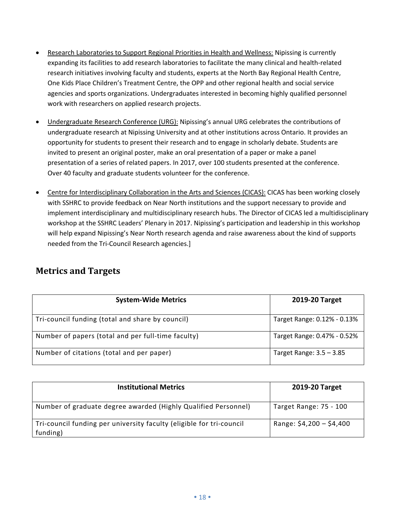- Research Laboratories to Support Regional Priorities in Health and Wellness: Nipissing is currently expanding its facilities to add research laboratories to facilitate the many clinical and health-related research initiatives involving faculty and students, experts at the North Bay Regional Health Centre, One Kids Place Children's Treatment Centre, the OPP and other regional health and social service agencies and sports organizations. Undergraduates interested in becoming highly qualified personnel work with researchers on applied research projects.
- Undergraduate Research Conference (URG): Nipissing's annual URG celebrates the contributions of undergraduate research at Nipissing University and at other institutions across Ontario. It provides an opportunity for students to present their research and to engage in scholarly debate. Students are invited to present an original poster, make an oral presentation of a paper or make a panel presentation of a series of related papers. In 2017, over 100 students presented at the conference. Over 40 faculty and graduate students volunteer for the conference.
- Centre for Interdisciplinary Collaboration in the Arts and Sciences (CICAS): CICAS has been working closely with SSHRC to provide feedback on Near North institutions and the support necessary to provide and implement interdisciplinary and multidisciplinary research hubs. The Director of CICAS led a multidisciplinary workshop at the SSHRC Leaders' Plenary in 2017. Nipissing's participation and leadership in this workshop will help expand Nipissing's Near North research agenda and raise awareness about the kind of supports needed from the Tri-Council Research agencies.]

| <b>Metrics and Targets</b> |  |
|----------------------------|--|
|----------------------------|--|

| <b>System-Wide Metrics</b>                         | 2019-20 Target              |
|----------------------------------------------------|-----------------------------|
| Tri-council funding (total and share by council)   | Target Range: 0.12% - 0.13% |
| Number of papers (total and per full-time faculty) | Target Range: 0.47% - 0.52% |
| Number of citations (total and per paper)          | Target Range: $3.5 - 3.85$  |

| <b>Institutional Metrics</b>                                                     | 2019-20 Target           |
|----------------------------------------------------------------------------------|--------------------------|
| Number of graduate degree awarded (Highly Qualified Personnel)                   | Target Range: 75 - 100   |
| Tri-council funding per university faculty (eligible for tri-council<br>funding) | Range: $$4,200 - $4,400$ |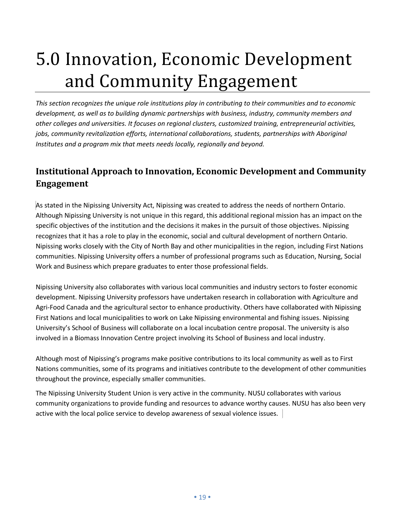# 5.0 Innovation, Economic Development and Community Engagement

*This section recognizes the unique role institutions play in contributing to their communities and to economic development, as well as to building dynamic partnerships with business, industry, community members and other colleges and universities. It focuses on regional clusters, customized training, entrepreneurial activities, jobs, community revitalization efforts, international collaborations, students, partnerships with Aboriginal Institutes and a program mix that meets needs locally, regionally and beyond.*

### **Institutional Approach to Innovation, Economic Development and Community Engagement**

As stated in the Nipissing University Act, Nipissing was created to address the needs of northern Ontario. Although Nipissing University is not unique in this regard, this additional regional mission has an impact on the specific objectives of the institution and the decisions it makes in the pursuit of those objectives. Nipissing recognizes that it has a role to play in the economic, social and cultural development of northern Ontario. Nipissing works closely with the City of North Bay and other municipalities in the region, including First Nations communities. Nipissing University offers a number of professional programs such as Education, Nursing, Social Work and Business which prepare graduates to enter those professional fields.

Nipissing University also collaborates with various local communities and industry sectors to foster economic development. Nipissing University professors have undertaken research in collaboration with Agriculture and Agri-Food Canada and the agricultural sector to enhance productivity. Others have collaborated with Nipissing First Nations and local municipalities to work on Lake Nipissing environmental and fishing issues. Nipissing University's School of Business will collaborate on a local incubation centre proposal. The university is also involved in a Biomass Innovation Centre project involving its School of Business and local industry.

Although most of Nipissing's programs make positive contributions to its local community as well as to First Nations communities, some of its programs and initiatives contribute to the development of other communities throughout the province, especially smaller communities.

The Nipissing University Student Union is very active in the community. NUSU collaborates with various community organizations to provide funding and resources to advance worthy causes. NUSU has also been very active with the local police service to develop awareness of sexual violence issues.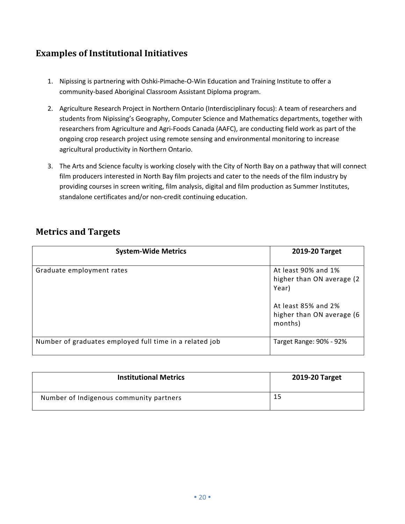### **Examples of Institutional Initiatives**

- 1. Nipissing is partnering with Oshki-Pimache-O-Win Education and Training Institute to offer a community-based Aboriginal Classroom Assistant Diploma program.
- 2. Agriculture Research Project in Northern Ontario (Interdisciplinary focus): A team of researchers and students from Nipissing's Geography, Computer Science and Mathematics departments, together with researchers from Agriculture and Agri-Foods Canada (AAFC), are conducting field work as part of the ongoing crop research project using remote sensing and environmental monitoring to increase agricultural productivity in Northern Ontario.
- 3. The Arts and Science faculty is working closely with the City of North Bay on a pathway that will connect film producers interested in North Bay film projects and cater to the needs of the film industry by providing courses in screen writing, film analysis, digital and film production as Summer Institutes, standalone certificates and/or non-credit continuing education.

|  |  | <b>Metrics and Targets</b> |
|--|--|----------------------------|
|--|--|----------------------------|

| <b>System-Wide Metrics</b>                              | 2019-20 Target                                                                                                            |
|---------------------------------------------------------|---------------------------------------------------------------------------------------------------------------------------|
| Graduate employment rates                               | At least 90% and 1%<br>higher than ON average (2)<br>Year)<br>At least 85% and 2%<br>higher than ON average (6<br>months) |
| Number of graduates employed full time in a related job | Target Range: 90% - 92%                                                                                                   |

| <b>Institutional Metrics</b>            | 2019-20 Target |
|-----------------------------------------|----------------|
| Number of Indigenous community partners |                |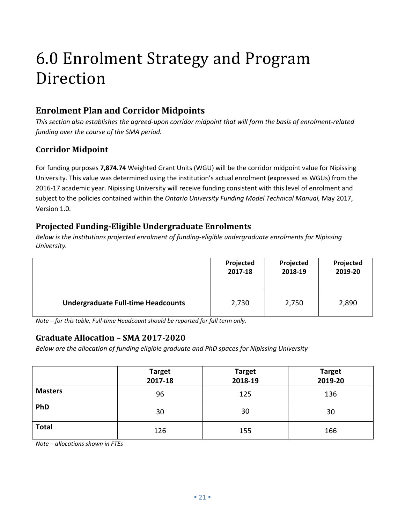### 6.0 Enrolment Strategy and Program Direction

### **Enrolment Plan and Corridor Midpoints**

*This section also establishes the agreed-upon corridor midpoint that will form the basis of enrolment-related funding over the course of the SMA period.* 

#### **Corridor Midpoint**

For funding purposes **7,874.74** Weighted Grant Units (WGU) will be the corridor midpoint value for Nipissing University. This value was determined using the institution's actual enrolment (expressed as WGUs) from the 2016-17 academic year. Nipissing University will receive funding consistent with this level of enrolment and subject to the policies contained within the *Ontario University Funding Model Technical Manual,* May 2017, Version 1.0.

#### **Projected Funding-Eligible Undergraduate Enrolments**

*Below is the institutions projected enrolment of funding-eligible undergraduate enrolments for Nipissing University.* 

|                                           | Projected | Projected | Projected |
|-------------------------------------------|-----------|-----------|-----------|
|                                           | 2017-18   | 2018-19   | 2019-20   |
| <b>Undergraduate Full-time Headcounts</b> | 2,730     | 2,750     | 2,890     |

*Note – for this table, Full-time Headcount should be reported for fall term only.* 

#### **Graduate Allocation – SMA 2017-2020**

*Below are the allocation of funding eligible graduate and PhD spaces for Nipissing University* 

|                | <b>Target</b><br>2017-18 | <b>Target</b><br>2018-19 | <b>Target</b><br>2019-20 |
|----------------|--------------------------|--------------------------|--------------------------|
| <b>Masters</b> | 96                       | 125                      | 136                      |
| PhD            | 30                       | 30                       | 30                       |
| <b>Total</b>   | 126                      | 155                      | 166                      |

*Note – allocations shown in FTEs*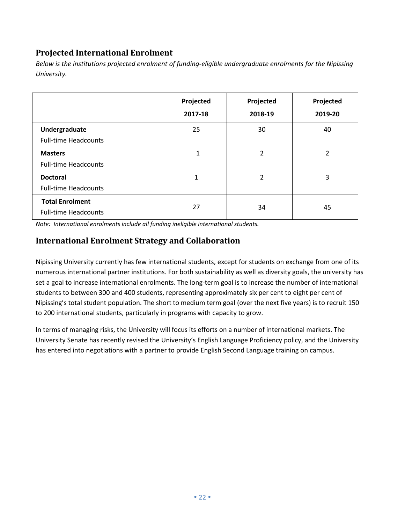#### **Projected International Enrolment**

|                                                       | Projected<br>2017-18 | Projected<br>2018-19 | Projected<br>2019-20 |
|-------------------------------------------------------|----------------------|----------------------|----------------------|
| Undergraduate<br><b>Full-time Headcounts</b>          | 25                   | 30                   | 40                   |
| <b>Masters</b><br><b>Full-time Headcounts</b>         | 1                    | $\overline{2}$       | $\overline{2}$       |
| <b>Doctoral</b><br><b>Full-time Headcounts</b>        | 1                    | $\overline{2}$       | 3                    |
| <b>Total Enrolment</b><br><b>Full-time Headcounts</b> | 27                   | 34                   | 45                   |

*Below is the institutions projected enrolment of funding-eligible undergraduate enrolments for the Nipissing University.* 

*Note: International enrolments include all funding ineligible international students.* 

#### **International Enrolment Strategy and Collaboration**

Nipissing University currently has few international students, except for students on exchange from one of its numerous international partner institutions. For both sustainability as well as diversity goals, the university has set a goal to increase international enrolments. The long-term goal is to increase the number of international students to between 300 and 400 students, representing approximately six per cent to eight per cent of Nipissing's total student population. The short to medium term goal (over the next five years) is to recruit 150 to 200 international students, particularly in programs with capacity to grow.

In terms of managing risks, the University will focus its efforts on a number of international markets. The University Senate has recently revised the University's English Language Proficiency policy, and the University has entered into negotiations with a partner to provide English Second Language training on campus.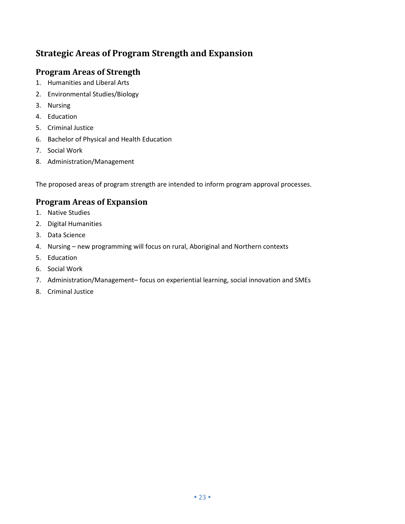### **Strategic Areas of Program Strength and Expansion**

#### **Program Areas of Strength**

- 1. Humanities and Liberal Arts
- 2. Environmental Studies/Biology
- 3. Nursing
- 4. Education
- 5. Criminal Justice
- 6. Bachelor of Physical and Health Education
- 7. Social Work
- 8. Administration/Management

The proposed areas of program strength are intended to inform program approval processes.

#### **Program Areas of Expansion**

- 1. Native Studies
- 2. Digital Humanities
- 3. Data Science
- 4. Nursing new programming will focus on rural, Aboriginal and Northern contexts
- 5. Education
- 6. Social Work
- 7. Administration/Management– focus on experiential learning, social innovation and SMEs
- 8. Criminal Justice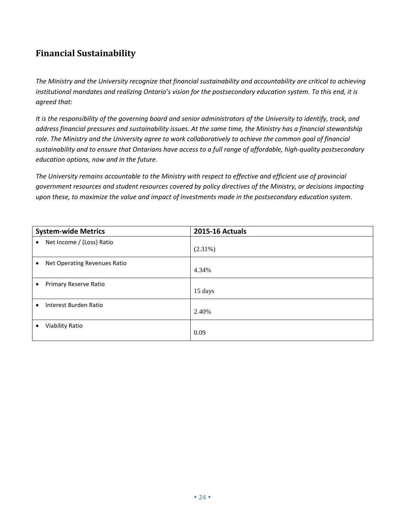### **Financial Sustainability**

*The Ministry and the University recognize that financial sustainability and accountability are critical to achieving*  institutional mandates and realizing Ontario's vision for the postsecondary education system. To this end, it is *agreed that:*

*It is the responsibility of the governing board and senior administrators of the University to identify, track, and address financial pressures and sustainability issues. At the same time, the Ministry has a financial stewardship role. The Ministry and the University agree to work collaboratively to achieve the common goal of financial sustainability and to ensure that Ontarians have access to a full range of affordable, high-quality postsecondary education options, now and in the future.*

*The University remains accountable to the Ministry with respect to effective and efficient use of provincial government resources and student resources covered by policy directives of the Ministry, or decisions impacting upon these, to maximize the value and impact of investments made in the postsecondary education system*.

| <b>System-wide Metrics</b>                | <b>2015-16 Actuals</b> |
|-------------------------------------------|------------------------|
| Net Income / (Loss) Ratio<br>$\bullet$    | $(2.31\%)$             |
| Net Operating Revenues Ratio<br>$\bullet$ | 4.34%                  |
| Primary Reserve Ratio<br>٠                | 15 days                |
| Interest Burden Ratio<br>$\bullet$        | 2.40%                  |
| Viability Ratio<br>٠                      | 0.09                   |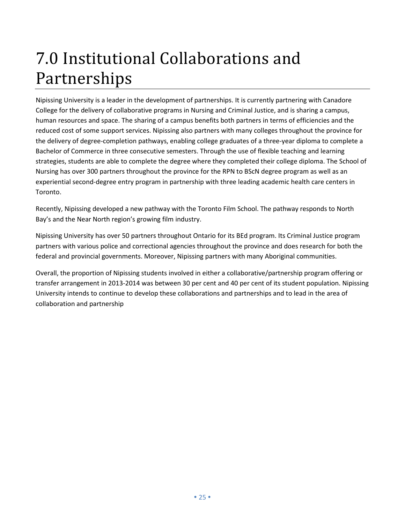# 7.0 Institutional Collaborations and Partnerships

Nipissing University is a leader in the development of partnerships. It is currently partnering with Canadore College for the delivery of collaborative programs in Nursing and Criminal Justice, and is sharing a campus, human resources and space. The sharing of a campus benefits both partners in terms of efficiencies and the reduced cost of some support services. Nipissing also partners with many colleges throughout the province for the delivery of degree-completion pathways, enabling college graduates of a three-year diploma to complete a Bachelor of Commerce in three consecutive semesters. Through the use of flexible teaching and learning strategies, students are able to complete the degree where they completed their college diploma. The School of Nursing has over 300 partners throughout the province for the RPN to BScN degree program as well as an experiential second-degree entry program in partnership with three leading academic health care centers in Toronto.

Recently, Nipissing developed a new pathway with the Toronto Film School. The pathway responds to North Bay's and the Near North region's growing film industry.

Nipissing University has over 50 partners throughout Ontario for its BEd program. Its Criminal Justice program partners with various police and correctional agencies throughout the province and does research for both the federal and provincial governments. Moreover, Nipissing partners with many Aboriginal communities.

Overall, the proportion of Nipissing students involved in either a collaborative/partnership program offering or transfer arrangement in 2013-2014 was between 30 per cent and 40 per cent of its student population. Nipissing University intends to continue to develop these collaborations and partnerships and to lead in the area of collaboration and partnership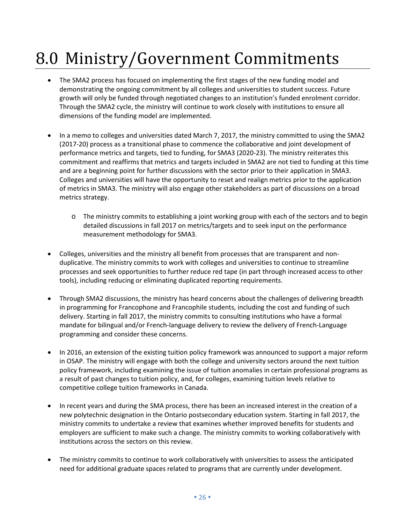# 8.0 Ministry/Government Commitments

- The SMA2 process has focused on implementing the first stages of the new funding model and demonstrating the ongoing commitment by all colleges and universities to student success. Future growth will only be funded through negotiated changes to an institution's funded enrolment corridor. Through the SMA2 cycle, the ministry will continue to work closely with institutions to ensure all dimensions of the funding model are implemented.
- In a memo to colleges and universities dated March 7, 2017, the ministry committed to using the SMA2 (2017-20) process as a transitional phase to commence the collaborative and joint development of performance metrics and targets, tied to funding, for SMA3 (2020-23). The ministry reiterates this commitment and reaffirms that metrics and targets included in SMA2 are not tied to funding at this time and are a beginning point for further discussions with the sector prior to their application in SMA3. Colleges and universities will have the opportunity to reset and realign metrics prior to the application of metrics in SMA3. The ministry will also engage other stakeholders as part of discussions on a broad metrics strategy.
	- o The ministry commits to establishing a joint working group with each of the sectors and to begin detailed discussions in fall 2017 on metrics/targets and to seek input on the performance measurement methodology for SMA3.
- Colleges, universities and the ministry all benefit from processes that are transparent and nonduplicative. The ministry commits to work with colleges and universities to continue to streamline processes and seek opportunities to further reduce red tape (in part through increased access to other tools), including reducing or eliminating duplicated reporting requirements.
- Through SMA2 discussions, the ministry has heard concerns about the challenges of delivering breadth in programming for Francophone and Francophile students, including the cost and funding of such delivery. Starting in fall 2017, the ministry commits to consulting institutions who have a formal mandate for bilingual and/or French-language delivery to review the delivery of French-Language programming and consider these concerns.
- In 2016, an extension of the existing tuition policy framework was announced to support a major reform in OSAP. The ministry will engage with both the college and university sectors around the next tuition policy framework, including examining the issue of tuition anomalies in certain professional programs as a result of past changes to tuition policy, and, for colleges, examining tuition levels relative to competitive college tuition frameworks in Canada.
- In recent years and during the SMA process, there has been an increased interest in the creation of a new polytechnic designation in the Ontario postsecondary education system. Starting in fall 2017, the ministry commits to undertake a review that examines whether improved benefits for students and employers are sufficient to make such a change. The ministry commits to working collaboratively with institutions across the sectors on this review.
- The ministry commits to continue to work collaboratively with universities to assess the anticipated need for additional graduate spaces related to programs that are currently under development.